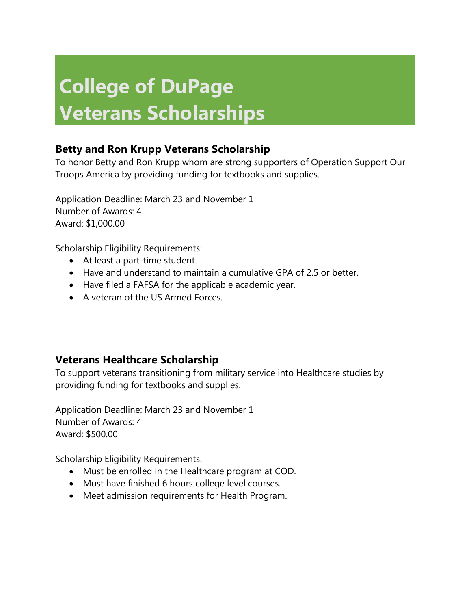# **College of DuPage Veterans Scholarships**

# **Betty and Ron Krupp Veterans Scholarship**

To honor Betty and Ron Krupp whom are strong supporters of Operation Support Our Troops America by providing funding for textbooks and supplies.

Application Deadline: March 23 and November 1 Number of Awards: 4 Award: \$1,000.00

Scholarship Eligibility Requirements:

- At least a part-time student.
- Have and understand to maintain a cumulative GPA of 2.5 or better.
- Have filed a FAFSA for the applicable academic year.
- A veteran of the US Armed Forces.

## **Veterans Healthcare Scholarship**

To support veterans transitioning from military service into Healthcare studies by providing funding for textbooks and supplies.

Application Deadline: March 23 and November 1 Number of Awards: 4 Award: \$500.00

Scholarship Eligibility Requirements:

- Must be enrolled in the Healthcare program at COD.
- Must have finished 6 hours college level courses.
- Meet admission requirements for Health Program.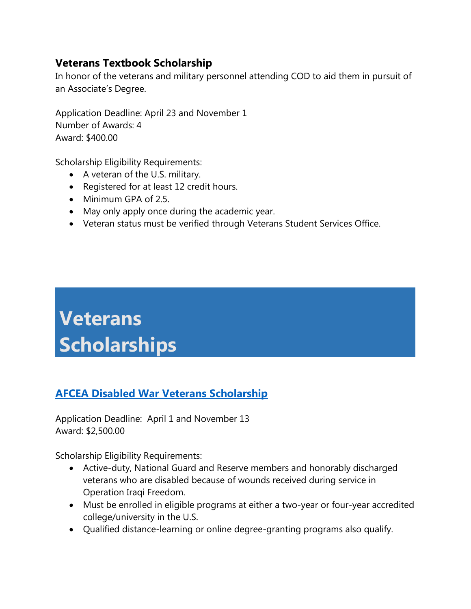## **Veterans Textbook Scholarship**

In honor of the veterans and military personnel attending COD to aid them in pursuit of an Associate's Degree.

Application Deadline: April 23 and November 1 Number of Awards: 4 Award: \$400.00

Scholarship Eligibility Requirements:

- A veteran of the U.S. military.
- Registered for at least 12 credit hours.
- Minimum GPA of 2.5.
- May only apply once during the academic year.
- Veteran status must be verified through Veterans Student Services Office.

# **Veterans Scholarships**

# **[AFCEA Disabled War Veterans Scholarship](http://www.afcea.org/education/scholarships/undergraduate/DisabledVeteranScholarship.asp)**

Application Deadline: April 1 and November 13 Award: \$2,500.00

Scholarship Eligibility Requirements:

- Active-duty, National Guard and Reserve members and honorably discharged veterans who are disabled because of wounds received during service in Operation Iraqi Freedom.
- Must be enrolled in eligible programs at either a two-year or four-year accredited college/university in the U.S.
- Qualified distance-learning or online degree-granting programs also qualify.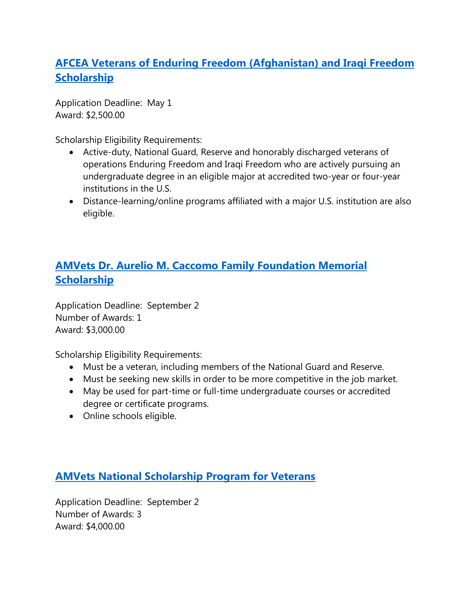# **AFCEA Veterans of Enduring [Freedom \(Afghanistan\) and Iraqi Freedom](http://www.afcea.org/education/scholarships/undergraduate/veteran.asp)  [Scholarship](http://www.afcea.org/education/scholarships/undergraduate/veteran.asp)**

Application Deadline: May 1 Award: \$2,500.00

Scholarship Eligibility Requirements:

- Active-duty, National Guard, Reserve and honorably discharged veterans of operations Enduring Freedom and Iraqi Freedom who are actively pursuing an undergraduate degree in an eligible major at accredited two-year or four-year institutions in the U.S.
- Distance-learning/online programs affiliated with a major U.S. institution are also eligible.

# **[AMVets Dr. Aurelio M. Caccomo Family Foundation Memorial](http://www.amvets.org/pdfs/programs_pdfs/program_scholarship_application_caccomo_vet.pdf)  [Scholarship](http://www.amvets.org/pdfs/programs_pdfs/program_scholarship_application_caccomo_vet.pdf)**

Application Deadline: September 2 Number of Awards: 1 Award: \$3,000.00

Scholarship Eligibility Requirements:

- Must be a veteran, including members of the National Guard and Reserve.
- Must be seeking new skills in order to be more competitive in the job market.
- May be used for part-time or full-time undergraduate courses or accredited degree or certificate programs.
- Online schools eligible.

## **[AMVets National Scholarship Program for Veterans](http://www.amvets.org/pdfs/programs_pdfs/programs_scholarship_application_veteran.pdf)**

Application Deadline: September 2 Number of Awards: 3 Award: \$4,000.00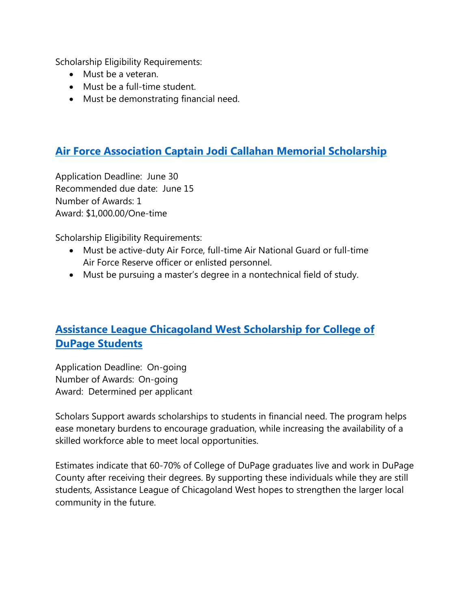Scholarship Eligibility Requirements:

- Must be a veteran.
- Must be a full-time student.
- Must be demonstrating financial need.

## **[Air Force Association Captain Jodi Callahan Memorial Scholarship](http://www.afa.org/aeflaid/callahan.pdf)**

Application Deadline: June 30 Recommended due date: June 15 Number of Awards: 1 Award: \$1,000.00/One-time

Scholarship Eligibility Requirements:

- Must be active-duty Air Force, full-time Air National Guard or full-time Air Force Reserve officer or enlisted personnel.
- Must be pursuing a master's degree in a nontechnical field of study.

# **[Assistance League Chicagoland West](http://www.alcw.org/scholars-support/) Scholarship for College of [DuPage Students](http://www.alcw.org/scholars-support/)**

Application Deadline: On-going Number of Awards: On-going Award: Determined per applicant

Scholars Support awards scholarships to students in financial need. The program helps ease monetary burdens to encourage graduation, while increasing the availability of a skilled workforce able to meet local opportunities.

Estimates indicate that 60-70% of College of DuPage graduates live and work in DuPage County after receiving their degrees. By supporting these individuals while they are still students, Assistance League of Chicagoland West hopes to strengthen the larger local community in the future.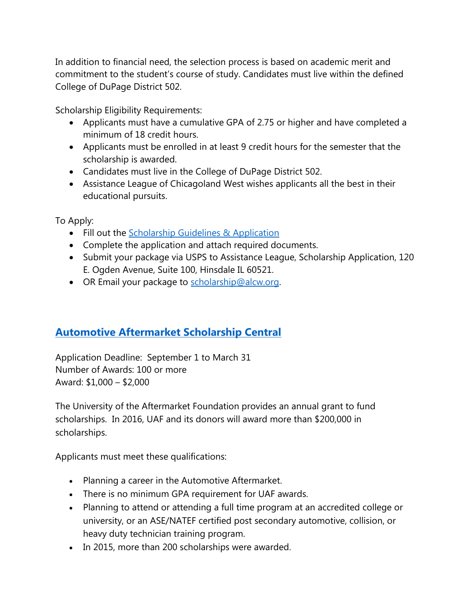In addition to financial need, the selection process is based on academic merit and commitment to the student's course of study. Candidates must live within the defined College of DuPage District 502.

Scholarship Eligibility Requirements:

- Applicants must have a cumulative GPA of 2.75 or higher and have completed a minimum of 18 credit hours.
- Applicants must be enrolled in at least 9 credit hours for the semester that the scholarship is awarded.
- Candidates must live in the College of DuPage District 502.
- Assistance League of Chicagoland West wishes applicants all the best in their educational pursuits.

To Apply:

- Fill out the [Scholarship Guidelines & Application](http://www.alcw.org/s/AL-Scholars-Support-Guidelines-Applicationr-Rev-21Apr16.pdf)
- Complete the application and attach required documents.
- Submit your package via USPS to Assistance League, Scholarship Application, 120 E. Ogden Avenue, Suite 100, Hinsdale IL 60521.
- OR Email your package to [scholarship@alcw.org.](mailto:scholarship@alcw.org)

## **[Automotive Aftermarket Scholarship](http://www.automotivescholarships.com/apply_online.cfm) Central**

Application Deadline: September 1 to March 31 Number of Awards: 100 or more Award: \$1,000 – \$2,000

The University of the Aftermarket Foundation provides an annual grant to fund scholarships. In 2016, UAF and its donors will award more than \$200,000 in scholarships.

Applicants must meet these qualifications:

- Planning a career in the Automotive Aftermarket.
- There is no minimum GPA requirement for UAF awards.
- Planning to attend or attending a full time program at an accredited college or university, or an ASE/NATEF certified post secondary automotive, collision, or heavy duty technician training program.
- In 2015, more than 200 scholarships were awarded.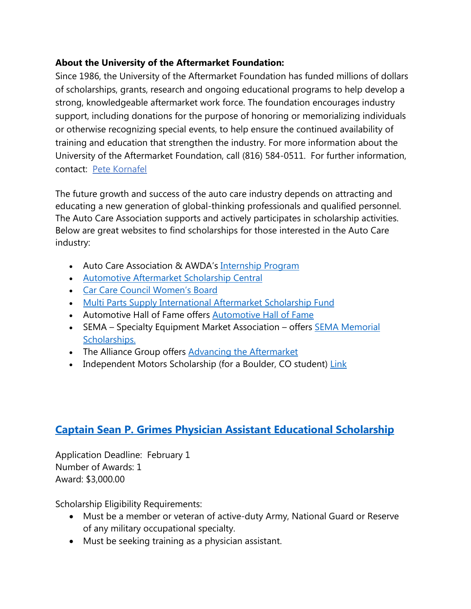#### **About the University of the Aftermarket Foundation:**

Since 1986, the University of the Aftermarket Foundation has funded millions of dollars of scholarships, grants, research and ongoing educational programs to help develop a strong, knowledgeable aftermarket work force. The foundation encourages industry support, including donations for the purpose of honoring or memorializing individuals or otherwise recognizing special events, to help ensure the continued availability of training and education that strengthen the industry. For more information about the University of the Aftermarket Foundation, call (816) 584-0511. For further information, contact: Pete [Kornafel](mailto:petekornafel@msn.com)

The future growth and success of the auto care industry depends on attracting and educating a new generation of global-thinking professionals and qualified personnel. The Auto Care Association supports and actively participates in scholarship activities. Below are great websites to find scholarships for those interested in the Auto Care industry:

- Auto Care Association & AWDA's [Internship Program](http://www.autocarecareers.org/get-started/internships-scholarships/auto-care-association-awda-internship-program/)
- [Automotive Aftermarket Scholarship Central](http://www.automotivescholarships.com/)
- [Car Care Council Women's Board](http://www.carcare.org/womens-board/scholarships/)
- [Multi Parts Supply International Aftermarket Scholarship Fund](http://www.automotivescholarships.com/scholarshiptype.cfm?type=25)
- Automotive Hall of Fame offers [Automotive Hall of Fame](http://automotivehalloffame.org/scholarships.php)
- SEMA Specialty Equipment Market Association offers **SEMA Memorial** [Scholarships.](http://www.sema.org/scholarships)
- The Alliance Group offers [Advancing the Aftermarket](http://www.alliance-programs.com/advancingaftermarket/)
- Independent Motors Scholarship (for a Boulder, CO student) [Link](http://independentmotors.net/auto-repair-scholarship-2015/)

## **Captain Sean P. Grimes Physician [Assistant Educational Scholarship](http://www.sapa.org/SeanScholarshipPage.htm)**

Application Deadline: February 1 Number of Awards: 1 Award: \$3,000.00

Scholarship Eligibility Requirements:

- Must be a member or veteran of active-duty Army, National Guard or Reserve of any military occupational specialty.
- Must be seeking training as a physician assistant.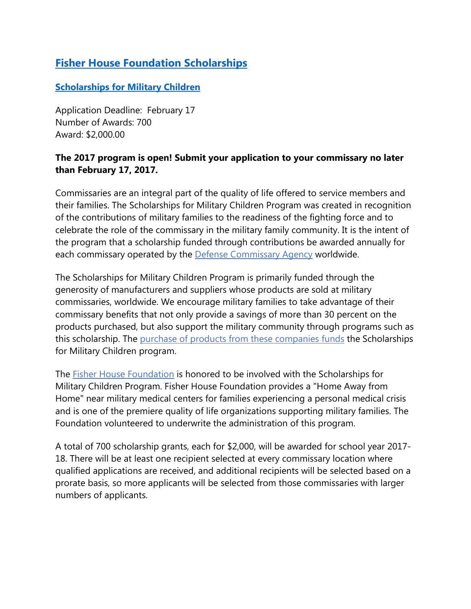# **Fisher House Foundation Scholarships**

#### **[Scholarships for Military Children](http://www.militaryscholar.org/sfmc/index.html)**

Application Deadline: February 17 Number of Awards: 700 Award: \$2,000.00

#### **The 2017 program is open! Submit your application to your commissary no later than February 17, 2017.**

Commissaries are an integral part of the quality of life offered to service members and their families. The Scholarships for Military Children Program was created in recognition of the contributions of military families to the readiness of the fighting force and to celebrate the role of the commissary in the military family community. It is the intent of the program that a scholarship funded through contributions be awarded annually for each commissary operated by the [Defense Commissary Agency](http://www.commissaries.com/) worldwide.

The Scholarships for Military Children Program is primarily funded through the generosity of manufacturers and suppliers whose products are sold at military commissaries, worldwide. We encourage military families to take advantage of their commissary benefits that not only provide a savings of more than 30 percent on the products purchased, but also support the military community through programs such as this scholarship. The [purchase of products from these companies funds](http://militaryscholar.org/sfmc/sponsors.html) the Scholarships for Military Children program.

The [Fisher House Foundation](http://fisherhouse.org/) is honored to be involved with the Scholarships for Military Children Program. Fisher House Foundation provides a "Home Away from Home" near military medical centers for families experiencing a personal medical crisis and is one of the premiere quality of life organizations supporting military families. The Foundation volunteered to underwrite the administration of this program.

A total of 700 scholarship grants, each for \$2,000, will be awarded for school year 2017- 18. There will be at least one recipient selected at every commissary location where qualified applications are received, and additional recipients will be selected based on a prorate basis, so more applicants will be selected from those commissaries with larger numbers of applicants.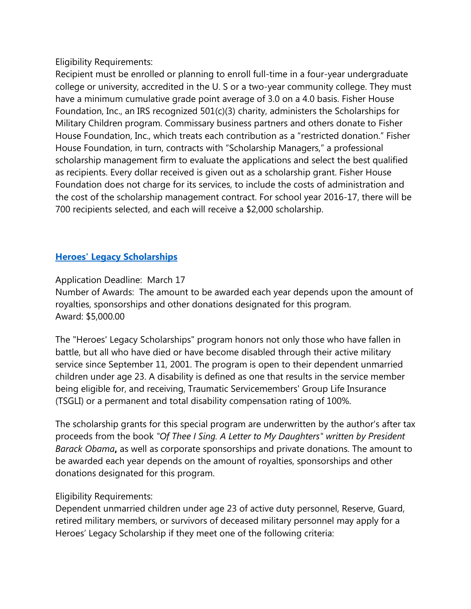Eligibility Requirements:

Recipient must be enrolled or planning to enroll full-time in a four-year undergraduate college or university, accredited in the U. S or a two-year community college. They must have a minimum cumulative grade point average of 3.0 on a 4.0 basis. Fisher House Foundation, Inc., an IRS recognized 501(c)(3) charity, administers the Scholarships for Military Children program. Commissary business partners and others donate to Fisher House Foundation, Inc., which treats each contribution as a "restricted donation." Fisher House Foundation, in turn, contracts with "Scholarship Managers," a professional scholarship management firm to evaluate the applications and select the best qualified as recipients. Every dollar received is given out as a scholarship grant. Fisher House Foundation does not charge for its services, to include the costs of administration and the cost of the scholarship management contract. For school year 2016-17, there will be 700 recipients selected, and each will receive a \$2,000 scholarship.

#### **[Heroes' Legacy Scholarships](http://www.militaryscholar.org/legacy/index.html)**

Application Deadline: March 17 Number of Awards: The amount to be awarded each year depends upon the amount of royalties, sponsorships and other donations designated for this program. Award: \$5,000.00

The "Heroes' Legacy Scholarships" program honors not only those who have fallen in battle, but all who have died or have become disabled through their active military service since September 11, 2001. The program is open to their dependent unmarried children under age 23. A disability is defined as one that results in the service member being eligible for, and receiving, Traumatic Servicemembers' Group Life Insurance (TSGLI) or a permanent and total disability compensation rating of 100%.

The scholarship grants for this special program are underwritten by the author's after tax proceeds from the book *"Of Thee I Sing. A Letter to My Daughters" written by President Barack Obama***,** as well as corporate sponsorships and private donations. The amount to be awarded each year depends on the amount of royalties, sponsorships and other donations designated for this program.

#### Eligibility Requirements:

Dependent unmarried children under age 23 of active duty personnel, Reserve, Guard, retired military members, or survivors of deceased military personnel may apply for a Heroes' Legacy Scholarship if they meet one of the following criteria: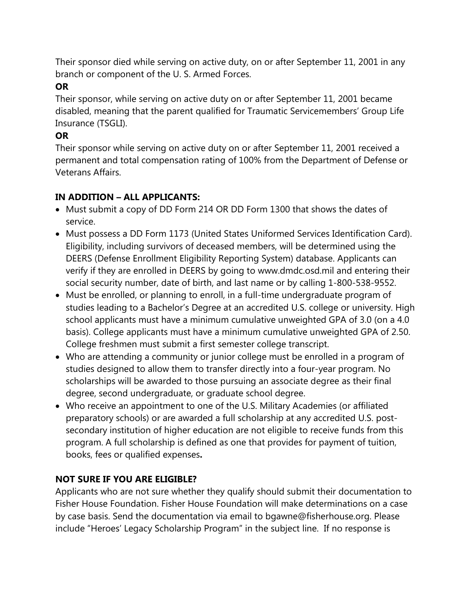Their sponsor died while serving on active duty, on or after September 11, 2001 in any branch or component of the U. S. Armed Forces.

#### **OR**

Their sponsor, while serving on active duty on or after September 11, 2001 became disabled, meaning that the parent qualified for Traumatic Servicemembers' Group Life Insurance (TSGLI).

#### **OR**

Their sponsor while serving on active duty on or after September 11, 2001 received a permanent and total compensation rating of 100% from the Department of Defense or Veterans Affairs.

#### **IN ADDITION – ALL APPLICANTS:**

- Must submit a copy of DD Form 214 OR DD Form 1300 that shows the dates of service.
- Must possess a DD Form 1173 (United States Uniformed Services Identification Card). Eligibility, including survivors of deceased members, will be determined using the DEERS (Defense Enrollment Eligibility Reporting System) database. Applicants can verify if they are enrolled in DEERS by going to www.dmdc.osd.mil and entering their social security number, date of birth, and last name or by calling 1-800-538-9552.
- Must be enrolled, or planning to enroll, in a full-time undergraduate program of studies leading to a Bachelor's Degree at an accredited U.S. college or university. High school applicants must have a minimum cumulative unweighted GPA of 3.0 (on a 4.0 basis). College applicants must have a minimum cumulative unweighted GPA of 2.50. College freshmen must submit a first semester college transcript.
- Who are attending a community or junior college must be enrolled in a program of studies designed to allow them to transfer directly into a four-year program. No scholarships will be awarded to those pursuing an associate degree as their final degree, second undergraduate, or graduate school degree.
- Who receive an appointment to one of the U.S. Military Academies (or affiliated preparatory schools) or are awarded a full scholarship at any accredited U.S. postsecondary institution of higher education are not eligible to receive funds from this program. A full scholarship is defined as one that provides for payment of tuition, books, fees or qualified expenses**.**

#### **NOT SURE IF YOU ARE ELIGIBLE?**

Applicants who are not sure whether they qualify should submit their documentation to Fisher House Foundation. Fisher House Foundation will make determinations on a case by case basis. Send the documentation via email to bgawne@fisherhouse.org. Please include "Heroes' Legacy Scholarship Program" in the subject line. If no response is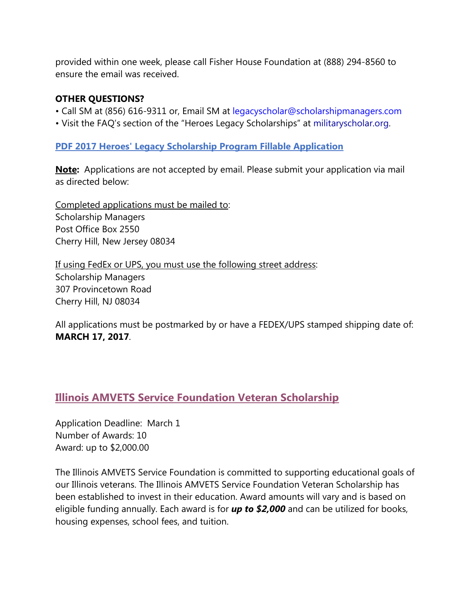provided within one week, please call Fisher House Foundation at (888) 294-8560 to ensure the email was received.

#### **OTHER QUESTIONS?**

- Call SM at (856) 616-9311 or, Email SM at legacyscholar@scholarshipmanagers.com
- Visit the FAQ's section of the "Heroes Legacy Scholarships" at militaryscholar.org.

#### **[PDF 2017 Heroes' Legacy Scholarship Program Fillable Application](http://militaryscholar.org/legacy/HeroesLegacyScholarship2017-Official-v1.pdf)**

**Note:** Applications are not accepted by email. Please submit your application via mail as directed below:

[Completed applications](http://militaryscholar.org/legacy/application.html) must be mailed to: Scholarship Managers Post Office Box 2550 Cherry Hill, New Jersey 08034

If using FedEx or UPS, you must use the following street address: Scholarship Managers 307 Provincetown Road Cherry Hill, NJ 08034

All applications must be postmarked by or have a FEDEX/UPS stamped shipping date of: **MARCH 17, 2017**.

#### **[Illinois AMVETS Service Foundation Veteran Scholarship](http://ilamvets.org/Portals/0/Veteran%20Application%202016-2017.pdf)**

Application Deadline: March 1 Number of Awards: 10 Award: up to \$2,000.00

The Illinois AMVETS Service Foundation is committed to supporting educational goals of our Illinois veterans. The Illinois AMVETS Service Foundation Veteran Scholarship has been established to invest in their education. Award amounts will vary and is based on eligible funding annually. Each award is for *up to \$2,000* and can be utilized for books, housing expenses, school fees, and tuition.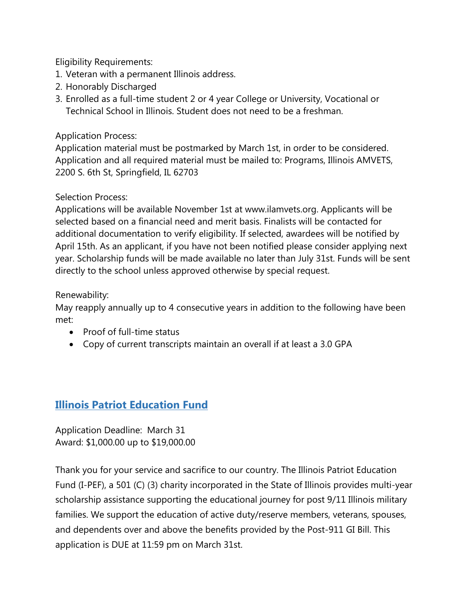Eligibility Requirements:

- 1. Veteran with a permanent Illinois address.
- 2. Honorably Discharged
- 3. Enrolled as a full-time student 2 or 4 year College or University, Vocational or Technical School in Illinois. Student does not need to be a freshman.

#### Application Process:

Application material must be postmarked by March 1st, in order to be considered. Application and all required material must be mailed to: Programs, Illinois AMVETS, 2200 S. 6th St, Springfield, IL 62703

#### Selection Process:

Applications will be available November 1st at www.ilamvets.org. Applicants will be selected based on a financial need and merit basis. Finalists will be contacted for additional documentation to verify eligibility. If selected, awardees will be notified by April 15th. As an applicant, if you have not been notified please consider applying next year. Scholarship funds will be made available no later than July 31st. Funds will be sent directly to the school unless approved otherwise by special request.

#### Renewability:

May reapply annually up to 4 consecutive years in addition to the following have been met:

- Proof of full-time status
- Copy of current transcripts maintain an overall if at least a 3.0 GPA

## **[Illinois Patriot Education Fund](http://www.illinoispatrioteducationfund.org/scholarship-application/)**

Application Deadline: March 31 Award: \$1,000.00 up to \$19,000.00

Thank you for your service and sacrifice to our country. The Illinois Patriot Education Fund (I-PEF), a 501 (C) (3) charity incorporated in the State of Illinois provides multi-year scholarship assistance supporting the educational journey for post 9/11 Illinois military families. We support the education of active duty/reserve members, veterans, spouses, and dependents over and above the benefits provided by the Post-911 GI Bill. This application is DUE at 11:59 pm on March 31st.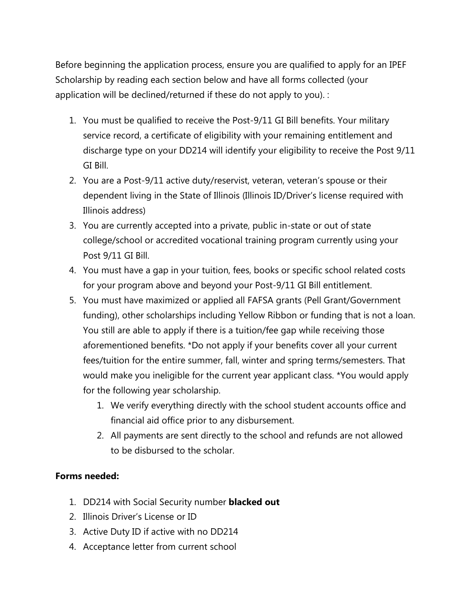Before beginning the application process, ensure you are qualified to apply for an IPEF Scholarship by reading each section below and have all forms collected (your application will be declined/returned if these do not apply to you). :

- 1. You must be qualified to receive the Post-9/11 GI Bill benefits. Your military service record, a certificate of eligibility with your remaining entitlement and discharge type on your DD214 will identify your eligibility to receive the Post 9/11 GI Bill.
- 2. You are a Post-9/11 active duty/reservist, veteran, veteran's spouse or their dependent living in the State of Illinois (Illinois ID/Driver's license required with Illinois address)
- 3. You are currently accepted into a private, public in-state or out of state college/school or accredited vocational training program currently using your Post 9/11 GI Bill.
- 4. You must have a gap in your tuition, fees, books or specific school related costs for your program above and beyond your Post-9/11 GI Bill entitlement.
- 5. You must have maximized or applied all FAFSA grants (Pell Grant/Government funding), other scholarships including Yellow Ribbon or funding that is not a loan. You still are able to apply if there is a tuition/fee gap while receiving those aforementioned benefits. \*Do not apply if your benefits cover all your current fees/tuition for the entire summer, fall, winter and spring terms/semesters. That would make you ineligible for the current year applicant class. \*You would apply for the following year scholarship.
	- 1. We verify everything directly with the school student accounts office and financial aid office prior to any disbursement.
	- 2. All payments are sent directly to the school and refunds are not allowed to be disbursed to the scholar.

#### **Forms needed:**

- 1. DD214 with Social Security number **blacked out**
- 2. Illinois Driver's License or ID
- 3. Active Duty ID if active with no DD214
- 4. Acceptance letter from current school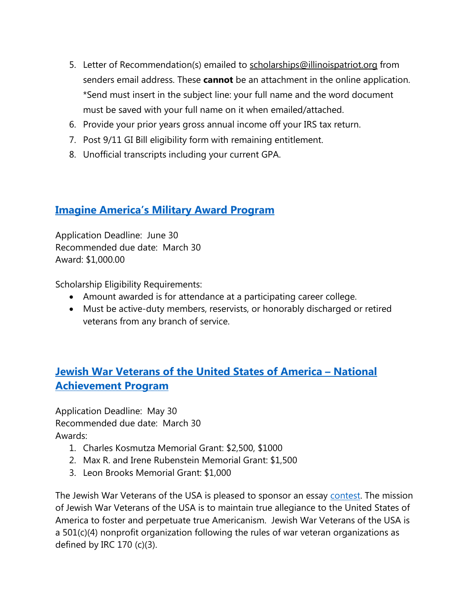- 5. Letter of Recommendation(s) emailed to [scholarships@illinoispatriot.org](mailto:scholarships@illinoispatriot.org) from senders email address. These **cannot** be an attachment in the online application. \*Send must insert in the subject line: your full name and the word document must be saved with your full name on it when emailed/attached.
- 6. Provide your prior years gross annual income off your IRS tax return.
- 7. Post 9/11 GI Bill eligibility form with remaining entitlement.
- 8. Unofficial transcripts including your current GPA.

## **[Imagine America's Military Award Program](http://www.imagine-america.org/scholarship/02-about-scholarship-map.asp)**

Application Deadline: June 30 Recommended due date: March 30 Award: \$1,000.00

Scholarship Eligibility Requirements:

- Amount awarded is for attendance at a participating career college.
- Must be active-duty members, reservists, or honorably discharged or retired veterans from any branch of service.

## **[Jewish War Veterans of the United States of America –](http://www.jwv.org/programs/service/awards/national_youth_achievement_program) National [Achievement Program](http://www.jwv.org/programs/service/awards/national_youth_achievement_program)**

Application Deadline: May 30 Recommended due date: March 30 Awards:

- 1. Charles Kosmutza Memorial Grant: \$2,500, \$1000
- 2. Max R. and Irene Rubenstein Memorial Grant: \$1,500
- 3. Leon Brooks Memorial Grant: \$1,000

The Jewish War Veterans of the USA is pleased to sponsor an essay [contest.](http://usascholarships.com/category/contest/) The mission of Jewish War Veterans of the USA is to maintain true allegiance to the United States of America to foster and perpetuate true Americanism. Jewish War Veterans of the USA is a 501(c)(4) nonprofit organization following the rules of war veteran organizations as defined by IRC 170 (c)(3).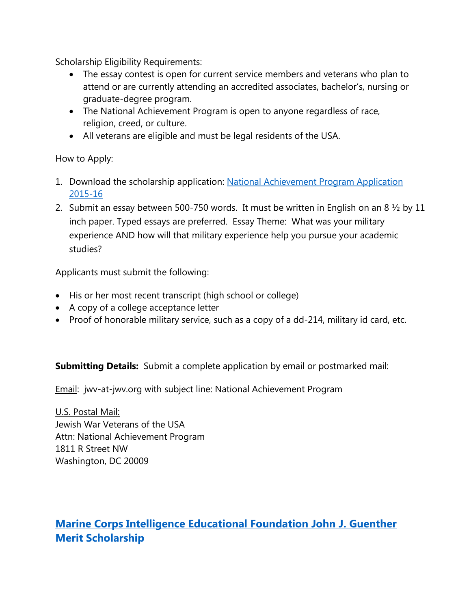Scholarship Eligibility Requirements:

- The essay contest is open for current service members and veterans who plan to attend or are currently attending an accredited associates, bachelor's, nursing or graduate-degree program.
- The National Achievement Program is open to anyone regardless of race, religion, creed, or culture.
- All veterans are eligible and must be legal residents of the USA.

How to Apply:

- 1. Download the scholarship application: [National Achievement Program Application](http://www.jwv.org/images/uploads/2015-2016_National_Achievement_Program_Application.pdf)  [2015-16](http://www.jwv.org/images/uploads/2015-2016_National_Achievement_Program_Application.pdf)
- 2. Submit an essay between 500-750 words. It must be written in English on an 8  $\frac{1}{2}$  by 11 inch paper. Typed essays are preferred. Essay Theme: What was your military experience AND how will that military experience help you pursue your academic studies?

Applicants must submit the following:

- His or her most recent transcript (high school or college)
- A copy of a college acceptance letter
- Proof of honorable military service, such as a copy of a dd-214, military id card, etc.

**Submitting Details:** Submit a complete application by email or postmarked mail:

Email: jwv-at-jwv.org with subject line: National Achievement Program

U.S. Postal Mail: Jewish War Veterans of the USA Attn: National Achievement Program 1811 R Street NW Washington, DC 20009

# **[Marine Corps Intelligence Educational Foundation John J. Guenther](http://www.mcia-inc.org/7.html)  [Merit Scholarship](http://www.mcia-inc.org/7.html)**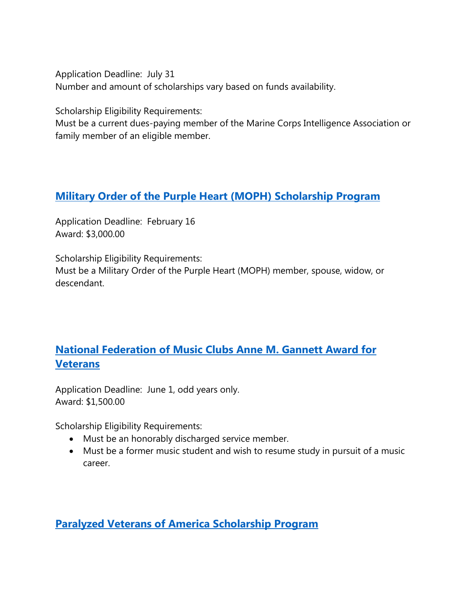Application Deadline: July 31 Number and amount of scholarships vary based on funds availability.

Scholarship Eligibility Requirements:

Must be a current dues-paying member of the Marine Corps Intelligence Association or family member of an eligible member.

#### **Military [Order of the Purple Heart \(MOPH\) Scholarship Program](http://www.purplehear.org/Membership/Public/Programs/Scholarships/Default.aspx)**

Application Deadline: February 16 Award: \$3,000.00

Scholarship Eligibility Requirements:

Must be a Military Order of the Purple Heart (MOPH) member, spouse, widow, or descendant.

# **[National Federation of Music Clubs Anne M. Gannett Award for](http://www.nfmc-music.org/Documents/Comp%20&%20Awards/CA-2-1.pdf)  [Veterans](http://www.nfmc-music.org/Documents/Comp%20&%20Awards/CA-2-1.pdf)**

Application Deadline: June 1, odd years only. Award: \$1,500.00

Scholarship Eligibility Requirements:

- Must be an honorably discharged service member.
- Must be a former music student and wish to resume study in pursuit of a music career.

**[Paralyzed Veterans of America Scholarship Program](http://www.pva.org/site/PageServer?pagename=memb_scholar)**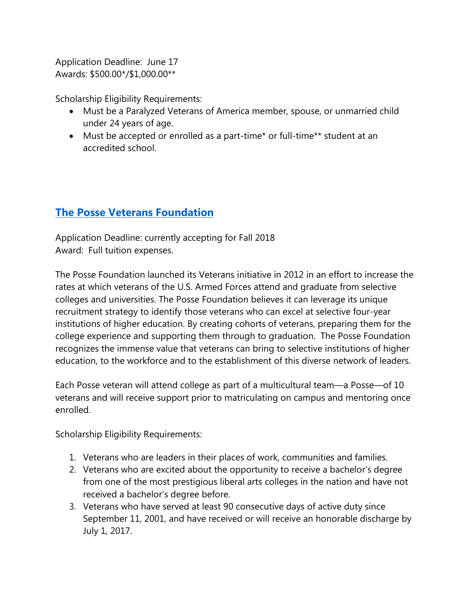Application Deadline: June 17 Awards: \$500.00\*/\$1,000.00\*\*

Scholarship Eligibility Requirements:

- Must be a Paralyzed Veterans of America member, spouse, or unmarried child under 24 years of age.
- Must be accepted or enrolled as a part-time\* or full-time\*\* student at an accredited school.

# **[The Posse Veterans Foundation](http://www.possefoundation.org/veterans-posse-program)**

Application Deadline: currently accepting for Fall 2018 Award: Full tuition expenses.

The Posse Foundation launched its Veterans initiative in 2012 in an effort to increase the rates at which veterans of the U.S. Armed Forces attend and graduate from selective colleges and universities. The Posse Foundation believes it can leverage its unique recruitment strategy to identify those veterans who can excel at selective four-year institutions of higher education. By creating cohorts of veterans, preparing them for the college experience and supporting them through to graduation. The Posse Foundation recognizes the immense value that veterans can bring to selective institutions of higher education, to the workforce and to the establishment of this diverse network of leaders.

Each Posse veteran will attend college as part of a multicultural team—a Posse—of 10 veterans and will receive support prior to matriculating on campus and mentoring once enrolled.

Scholarship Eligibility Requirements:

- 1. Veterans who are leaders in their places of work, communities and families.
- 2. Veterans who are excited about the opportunity to receive a bachelor's degree from one of the most prestigious liberal arts colleges in the nation and have not received a bachelor's degree before.
- 3. Veterans who have served at least 90 consecutive days of active duty since September 11, 2001, and have received or will receive an honorable discharge by July 1, 2017.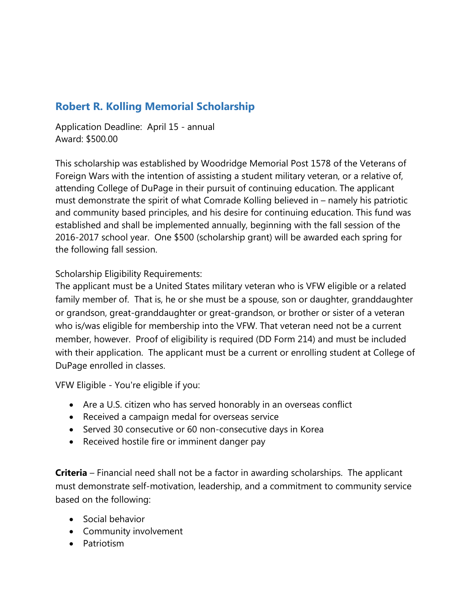# **Robert R. Kolling Memorial Scholarship**

Application Deadline: April 15 - annual Award: \$500.00

This scholarship was established by Woodridge Memorial Post 1578 of the Veterans of Foreign Wars with the intention of assisting a student military veteran, or a relative of, attending College of DuPage in their pursuit of continuing education. The applicant must demonstrate the spirit of what Comrade Kolling believed in – namely his patriotic and community based principles, and his desire for continuing education. This fund was established and shall be implemented annually, beginning with the fall session of the 2016-2017 school year. One \$500 (scholarship grant) will be awarded each spring for the following fall session.

Scholarship Eligibility Requirements:

The applicant must be a United States military veteran who is VFW eligible or a related family member of. That is, he or she must be a spouse, son or daughter, granddaughter or grandson, great-granddaughter or great-grandson, or brother or sister of a veteran who is/was eligible for membership into the VFW. That veteran need not be a current member, however. Proof of eligibility is required (DD Form 214) and must be included with their application. The applicant must be a current or enrolling student at College of DuPage enrolled in classes.

VFW Eligible - You're eligible if you:

- Are a U.S. citizen who has served honorably in an overseas conflict
- Received a campaign medal for overseas service
- Served 30 consecutive or 60 non-consecutive days in Korea
- Received hostile fire or imminent danger pay

**Criteria** – Financial need shall not be a factor in awarding scholarships. The applicant must demonstrate self-motivation, leadership, and a commitment to community service based on the following:

- Social behavior
- Community involvement
- Patriotism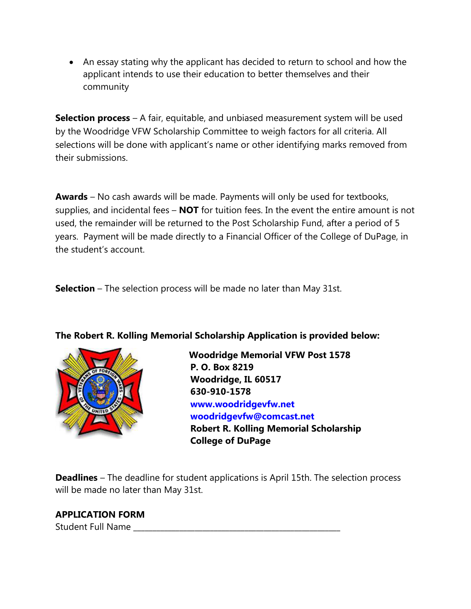• An essay stating why the applicant has decided to return to school and how the applicant intends to use their education to better themselves and their community

**Selection process** – A fair, equitable, and unbiased measurement system will be used by the Woodridge VFW Scholarship Committee to weigh factors for all criteria. All selections will be done with applicant's name or other identifying marks removed from their submissions.

**Awards** – No cash awards will be made. Payments will only be used for textbooks, supplies, and incidental fees – **NOT** for tuition fees. In the event the entire amount is not used, the remainder will be returned to the Post Scholarship Fund, after a period of 5 years. Payment will be made directly to a Financial Officer of the College of DuPage, in the student's account.

**Selection** – The selection process will be made no later than May 31st.

**The Robert R. Kolling Memorial Scholarship Application is provided below:**



 **Woodridge Memorial VFW Post 1578 P. O. Box 8219 Woodridge, IL 60517 630-910-1578 www.woodridgevfw.net woodridgevfw@comcast.net Robert R. Kolling Memorial Scholarship College of DuPage**

**Deadlines** – The deadline for student applications is April 15th. The selection process will be made no later than May 31st.

#### **APPLICATION FORM**

Student Full Name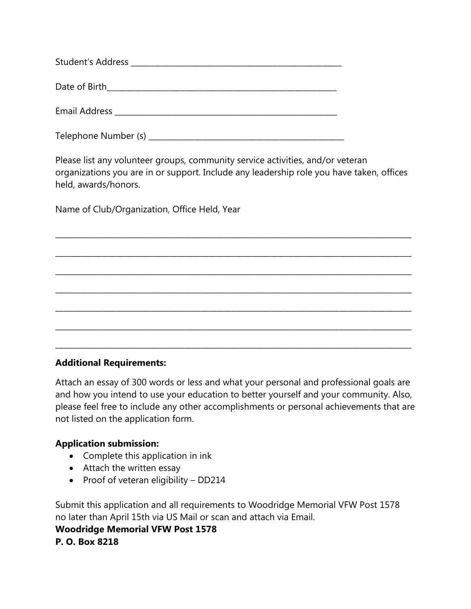| <b>Student's Address</b> |
|--------------------------|
| Date of Birth            |
| <b>Email Address</b>     |

Telephone Number (s) \_\_\_\_\_\_\_\_\_\_\_\_\_\_\_\_\_\_\_\_\_\_\_\_\_\_\_\_\_\_\_\_\_\_\_\_\_\_\_\_\_\_\_\_\_\_\_\_\_\_\_

Please list any volunteer groups, community service activities, and/or veteran organizations you are in or support. Include any leadership role you have taken, offices held, awards/honors.

\_\_\_\_\_\_\_\_\_\_\_\_\_\_\_\_\_\_\_\_\_\_\_\_\_\_\_\_\_\_\_\_\_\_\_\_\_\_\_\_\_\_\_\_\_\_\_\_\_\_\_\_\_\_\_\_\_\_\_\_\_\_\_\_\_\_\_\_\_\_\_\_\_\_\_\_\_\_\_\_\_\_\_\_\_\_\_\_\_\_\_\_\_

\_\_\_\_\_\_\_\_\_\_\_\_\_\_\_\_\_\_\_\_\_\_\_\_\_\_\_\_\_\_\_\_\_\_\_\_\_\_\_\_\_\_\_\_\_\_\_\_\_\_\_\_\_\_\_\_\_\_\_\_\_\_\_\_\_\_\_\_\_\_\_\_\_\_\_\_\_\_\_\_\_\_\_\_\_\_\_\_\_\_\_\_\_

\_\_\_\_\_\_\_\_\_\_\_\_\_\_\_\_\_\_\_\_\_\_\_\_\_\_\_\_\_\_\_\_\_\_\_\_\_\_\_\_\_\_\_\_\_\_\_\_\_\_\_\_\_\_\_\_\_\_\_\_\_\_\_\_\_\_\_\_\_\_\_\_\_\_\_\_\_\_\_\_\_\_\_\_\_\_\_\_\_\_\_\_\_

\_\_\_\_\_\_\_\_\_\_\_\_\_\_\_\_\_\_\_\_\_\_\_\_\_\_\_\_\_\_\_\_\_\_\_\_\_\_\_\_\_\_\_\_\_\_\_\_\_\_\_\_\_\_\_\_\_\_\_\_\_\_\_\_\_\_\_\_\_\_\_\_\_\_\_\_\_\_\_\_\_\_\_\_\_\_\_\_\_\_\_\_\_

\_\_\_\_\_\_\_\_\_\_\_\_\_\_\_\_\_\_\_\_\_\_\_\_\_\_\_\_\_\_\_\_\_\_\_\_\_\_\_\_\_\_\_\_\_\_\_\_\_\_\_\_\_\_\_\_\_\_\_\_\_\_\_\_\_\_\_\_\_\_\_\_\_\_\_\_\_\_\_\_\_\_\_\_\_\_\_\_\_\_\_\_\_

\_\_\_\_\_\_\_\_\_\_\_\_\_\_\_\_\_\_\_\_\_\_\_\_\_\_\_\_\_\_\_\_\_\_\_\_\_\_\_\_\_\_\_\_\_\_\_\_\_\_\_\_\_\_\_\_\_\_\_\_\_\_\_\_\_\_\_\_\_\_\_\_\_\_\_\_\_\_\_\_\_\_\_\_\_\_\_\_\_\_\_\_\_

\_\_\_\_\_\_\_\_\_\_\_\_\_\_\_\_\_\_\_\_\_\_\_\_\_\_\_\_\_\_\_\_\_\_\_\_\_\_\_\_\_\_\_\_\_\_\_\_\_\_\_\_\_\_\_\_\_\_\_\_\_\_\_\_\_\_\_\_\_\_\_\_\_\_\_\_\_\_\_\_\_\_\_\_\_\_\_\_\_\_\_\_\_

Name of Club/Organization, Office Held, Year

#### **Additional Requirements:**

Attach an essay of 300 words or less and what your personal and professional goals are and how you intend to use your education to better yourself and your community. Also, please feel free to include any other accomplishments or personal achievements that are not listed on the application form.

#### **Application submission:**

- Complete this application in ink
- Attach the written essay
- Proof of veteran eligibility DD214

Submit this application and all requirements to Woodridge Memorial VFW Post 1578 no later than April 15th via US Mail or scan and attach via Email.

#### **Woodridge Memorial VFW Post 1578 P. O. Box 8218**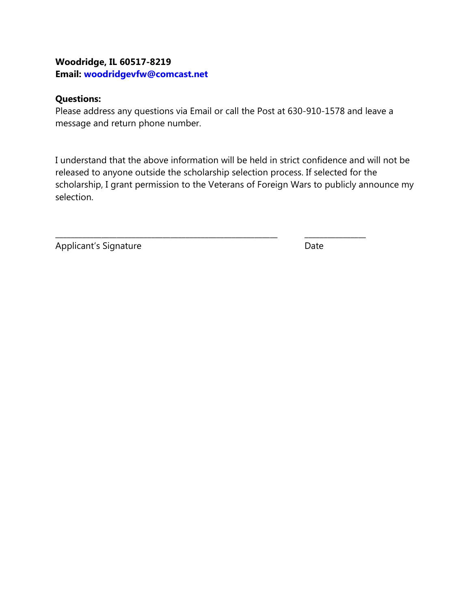#### **Woodridge, IL 60517-8219 Email: woodridgevfw@comcast.net**

#### **Questions:**

Please address any questions via Email or call the Post at 630-910-1578 and leave a message and return phone number.

I understand that the above information will be held in strict confidence and will not be released to anyone outside the scholarship selection process. If selected for the scholarship, I grant permission to the Veterans of Foreign Wars to publicly announce my selection.

\_\_\_\_\_\_\_\_\_\_\_\_\_\_\_\_\_\_\_\_\_\_\_\_\_\_\_\_\_\_\_\_\_\_\_\_\_\_\_\_\_\_\_\_\_\_\_\_\_\_\_\_\_\_\_\_\_\_ \_\_\_\_\_\_\_\_\_\_\_\_\_\_\_\_

Applicant's Signature **Date** Date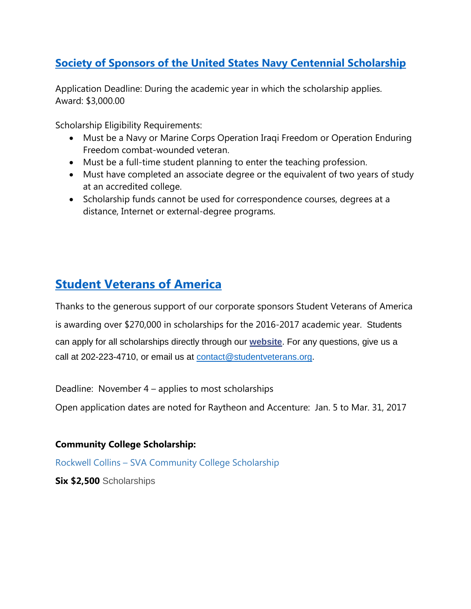# **[Society of Sponsors of the United States Navy Centennial Scholarship](http://www.nmcrs.org/sponsors-scholarship.pdf)**

Application Deadline: During the academic year in which the scholarship applies. Award: \$3,000.00

Scholarship Eligibility Requirements:

- Must be a Navy or Marine Corps Operation Iraqi Freedom or Operation Enduring Freedom combat-wounded veteran.
- Must be a full-time student planning to enter the teaching profession.
- Must have completed an associate degree or the equivalent of two years of study at an accredited college.
- Scholarship funds cannot be used for correspondence courses, degrees at a distance, Internet or external-degree programs.

# **[Student Veterans of America](http://studentveterans.org/index.php/programs/scholarships)**

Thanks to the generous support of our corporate sponsors Student Veterans of America is awarding over \$270,000 in scholarships for the 2016-2017 academic year. Students can apply for all scholarships directly through our **[website](https://urldefense.proofpoint.com/v2/url?u=http-3A__studentveterans.us11.list-2Dmanage.com_track_click-3Fu-3D00012c707b4eea916ba13da83-26id-3D6a3273f61d-26e-3Ddb2bb041d1&d=CwMBAg&c=ODFT-G5SujMiGrKuoJJjVg&r=JApgZ8oaw1TYS8Tk0hf4VGoOhIEjSd6CZjw6xg70hfM&m=_ysg_GVn5ZJdtF5295Odw2Ft8ktAp4NXxD9bBDUSak4&s=wFUy-NTwLhoSr7aYzNyuMZUxKQXbb4ngJW1MXsJ9bF0&e=)**. For any questions, give us a call at 202-223-4710, or email us at [contact@studentveterans.org.](mailto:contact@studentveterans.org)

Deadline: November 4 – applies to most scholarships

Open application dates are noted for Raytheon and Accenture: Jan. 5 to Mar. 31, 2017

#### **Community College Scholarship:**

Rockwell Collins – SVA Community College Scholarship

**Six \$2,500** Scholarships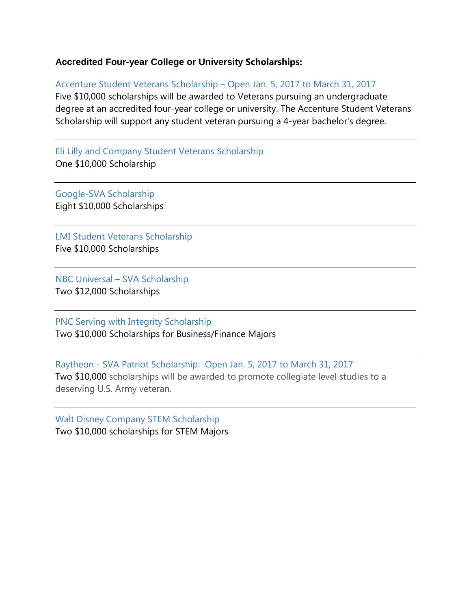#### **Accredited Four-year College or University Scholarships:**

Accenture Student Veterans Scholarship – Open Jan. 5, 2017 to March 31, 2017

Five \$10,000 scholarships will be awarded to Veterans pursuing an undergraduate degree at an accredited four-year college or university. The Accenture Student Veterans Scholarship will support any student veteran pursuing a 4-year bachelor's degree.

Eli Lilly and Company Student Veterans Scholarship One \$10,000 Scholarship

Google-SVA Scholarship Eight \$10,000 Scholarships

LMI Student Veterans Scholarship Five \$10,000 Scholarships

NBC Universal – SVA Scholarship Two \$12,000 Scholarships

PNC Serving with Integrity Scholarship Two \$10,000 Scholarships for Business/Finance Majors

Raytheon - SVA Patriot Scholarship: Open Jan. 5, 2017 to March 31, 2017 Two \$10,000 scholarships will be awarded to promote collegiate level studies to a deserving U.S. Army veteran.

Walt Disney Company STEM Scholarship Two \$10,000 scholarships for STEM Majors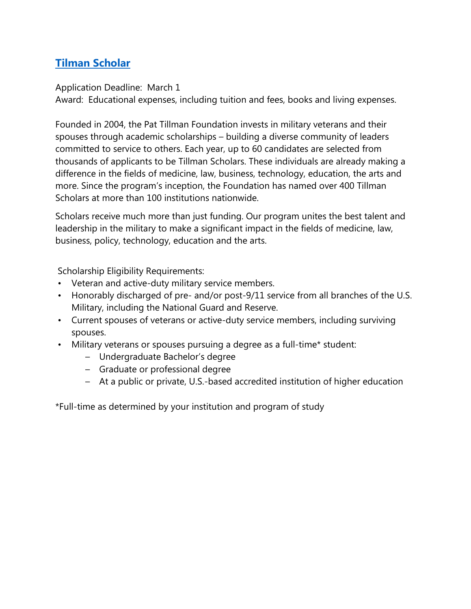# **[Tilman Scholar](http://pattillmanfoundation.org/wp-content/uploads/PTF_one-sheet_app.pdf)**

Application Deadline: March 1

Award: Educational expenses, including tuition and fees, books and living expenses.

Founded in 2004, the Pat Tillman Foundation invests in military veterans and their spouses through academic scholarships – building a diverse community of leaders committed to service to others. Each year, up to 60 candidates are selected from thousands of applicants to be Tillman Scholars. These individuals are already making a difference in the fields of medicine, law, business, technology, education, the arts and more. Since the program's inception, the Foundation has named over 400 Tillman Scholars at more than 100 institutions nationwide.

Scholars receive much more than just funding. Our program unites the best talent and leadership in the military to make a significant impact in the fields of medicine, law, business, policy, technology, education and the arts.

Scholarship Eligibility Requirements:

- Veteran and active-duty military service members.
- Honorably discharged of pre- and/or post-9/11 service from all branches of the U.S. Military, including the National Guard and Reserve.
- Current spouses of veterans or active-duty service members, including surviving spouses.
- Military veterans or spouses pursuing a degree as a full-time\* student:
	- Undergraduate Bachelor's degree
	- Graduate or professional degree
	- At a public or private, U.S.-based accredited institution of higher education

\*Full-time as determined by your institution and program of study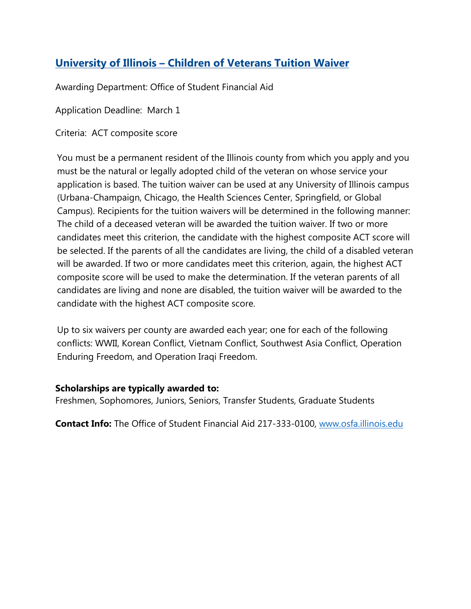# **University of Illinois – [Children of Veterans Tuition Waiver](https://secure.osfa.illinois.edu/scholarship-database/detail.aspx?id=1522)**

Awarding Department: Office of Student Financial Aid

Application Deadline: March 1

Criteria: ACT composite score

You must be a permanent resident of the Illinois county from which you apply and you must be the natural or legally adopted child of the veteran on whose service your application is based. The tuition waiver can be used at any University of Illinois campus (Urbana-Champaign, Chicago, the Health Sciences Center, Springfield, or Global Campus). Recipients for the tuition waivers will be determined in the following manner: The child of a deceased veteran will be awarded the tuition waiver. If two or more candidates meet this criterion, the candidate with the highest composite ACT score will be selected. If the parents of all the candidates are living, the child of a disabled veteran will be awarded. If two or more candidates meet this criterion, again, the highest ACT composite score will be used to make the determination. If the veteran parents of all candidates are living and none are disabled, the tuition waiver will be awarded to the candidate with the highest ACT composite score.

Up to six waivers per county are awarded each year; one for each of the following conflicts: WWII, Korean Conflict, Vietnam Conflict, Southwest Asia Conflict, Operation Enduring Freedom, and Operation Iraqi Freedom.

#### **Scholarships are typically awarded to:**

Freshmen, Sophomores, Juniors, Seniors, Transfer Students, Graduate Students

**Contact Info:** The Office of Student Financial Aid 217-333-0100, [www.osfa.illinois.edu](http://www.osfa.illinois.edu/)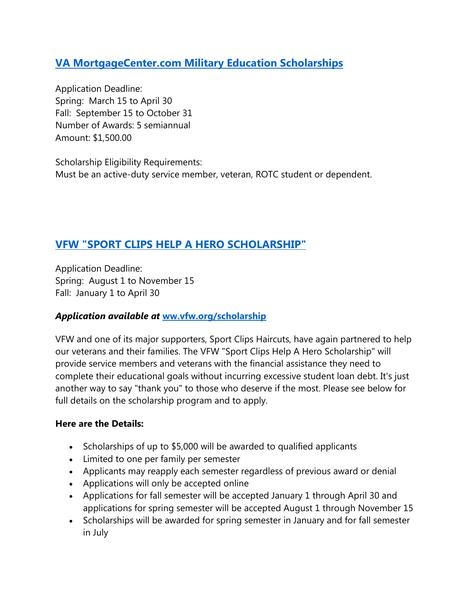## **[VA MortgageCenter.com Military Education Scholarships](http://www.vamortgagecenter.com/scholarships.html)**

Application Deadline: Spring: March 15 to April 30 Fall: September 15 to October 31 Number of Awards: 5 semiannual Amount: \$1,500.00

Scholarship Eligibility Requirements: Must be an active-duty service member, veteran, ROTC student or dependent.

## **[VFW "SPORT CLIPS HELP A HERO SCHOLARSHIP"](http://www.vfw.org/scholarship/)**

Application Deadline: Spring: August 1 to November 15 Fall: January 1 to April 30

#### *Application available at* **[ww.vfw.org/scholarship](http://www.vfw.org/scholarship)**

VFW and one of its major supporters, Sport Clips Haircuts, have again partnered to help our veterans and their families. The VFW "Sport Clips Help A Hero Scholarship" will provide service members and veterans with the financial assistance they need to complete their educational goals without incurring excessive student loan debt. It's just another way to say "thank you" to those who deserve if the most. Please see below for full details on the scholarship program and to apply.

#### **Here are the Details:**

- Scholarships of up to \$5,000 will be awarded to qualified applicants
- Limited to one per family per semester
- Applicants may reapply each semester regardless of previous award or denial
- Applications will only be accepted online
- Applications for fall semester will be accepted January 1 through April 30 and applications for spring semester will be accepted August 1 through November 15
- Scholarships will be awarded for spring semester in January and for fall semester in July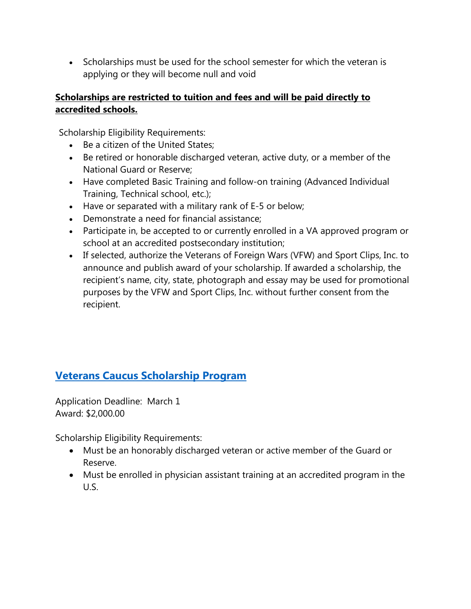• Scholarships must be used for the school semester for which the veteran is applying or they will become null and void

#### **Scholarships are restricted to tuition and fees and will be paid directly to accredited schools.**

Scholarship Eligibility Requirements:

- Be a citizen of the United States;
- Be retired or honorable discharged veteran, active duty, or a member of the National Guard or Reserve;
- Have completed Basic Training and follow-on training (Advanced Individual Training, Technical school, etc.);
- Have or separated with a military rank of E-5 or below;
- Demonstrate a need for financial assistance;
- Participate in, be accepted to or currently enrolled in a VA approved program or school at an accredited postsecondary institution;
- If selected, authorize the Veterans of Foreign Wars (VFW) and Sport Clips, Inc. to announce and publish award of your scholarship. If awarded a scholarship, the recipient's name, city, state, photograph and essay may be used for promotional purposes by the VFW and Sport Clips, Inc. without further consent from the recipient.

# **[Veterans Caucus Scholarship Program](http://www.veteranscaucus.org/displaycommon.cfm?an=1&subarticleenbr=37)**

Application Deadline: March 1 Award: \$2,000.00

Scholarship Eligibility Requirements:

- Must be an honorably discharged veteran or active member of the Guard or Reserve.
- Must be enrolled in physician assistant training at an accredited program in the U.S.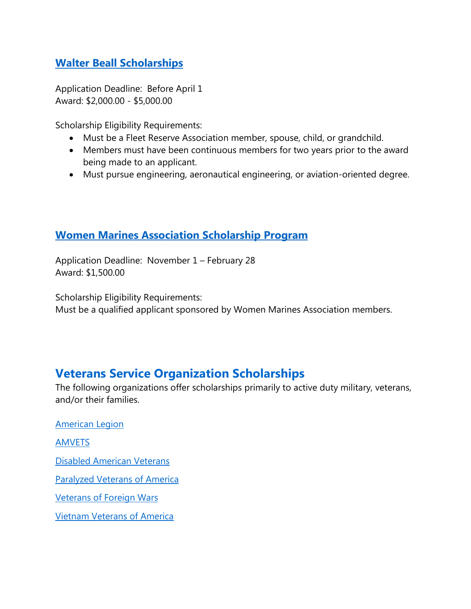## **[Walter Beall Scholarships](http://www.walterbeallscholarship.org/index.html)**

Application Deadline: Before April 1 Award: \$2,000.00 - \$5,000.00

Scholarship Eligibility Requirements:

- Must be a Fleet Reserve Association member, spouse, child, or grandchild.
- Members must have been continuous members for two years prior to the award being made to an applicant.
- Must pursue engineering, aeronautical engineering, or aviation-oriented degree.

## **[Women Marines Association Scholarship Program](http://www.womenmarines.org/scholarships.aspx)**

Application Deadline: November 1 – February 28 Award: \$1,500.00

Scholarship Eligibility Requirements:

Must be a qualified applicant sponsored by Women Marines Association members.

# **Veterans Service Organization Scholarships**

The following organizations offer scholarships primarily to active duty military, veterans, and/or their families.

[American Legion](http://www.legion.org/scholarships) [AMVETS](http://www.amvets.org/programs/scholarships.html) [Disabled American Veterans](http://www.dav.org/volunteers/scholarship.aspx) [Paralyzed Veterans of America](http://www.pva.org/scholarships) [Veterans of Foreign Wars](http://www.vfw.org/community/programs) [Vietnam Veterans of America](http://www.vva.org/scholarship.html)